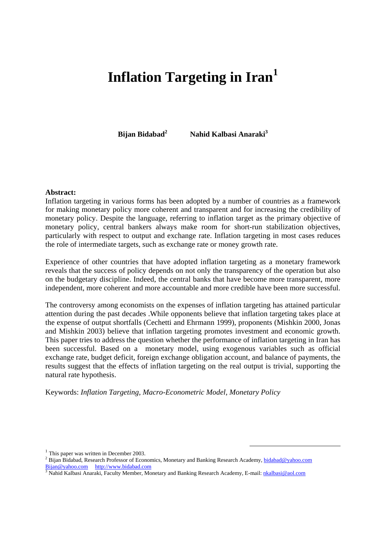# **Inflation Targeting in Iran<sup>1</sup>**

**Bijan Bidabad2**

 **Nahid Kalbasi Anaraki3**

#### **Abstract:**

Inflation targeting in various forms has been adopted by a number of countries as a framework for making monetary policy more coherent and transparent and for increasing the credibility of monetary policy. Despite the language, referring to inflation target as the primary objective of monetary policy, central bankers always make room for short-run stabilization objectives, particularly with respect to output and exchange rate. Inflation targeting in most cases reduces the role of intermediate targets, such as exchange rate or money growth rate.

Experience of other countries that have adopted inflation targeting as a monetary framework reveals that the success of policy depends on not only the transparency of the operation but also on the budgetary discipline. Indeed, the central banks that have become more transparent, more independent, more coherent and more accountable and more credible have been more successful.

The controversy among economists on the expenses of inflation targeting has attained particular attention during the past decades .While opponents believe that inflation targeting takes place at the expense of output shortfalls (Cechetti and Ehrmann 1999), proponents (Mishkin 2000, Jonas and Mishkin 2003) believe that inflation targeting promotes investment and economic growth. This paper tries to address the question whether the performance of inflation targeting in Iran has been successful. Based on a monetary model, using exogenous variables such as official exchange rate, budget deficit, foreign exchange obligation account, and balance of payments, the results suggest that the effects of inflation targeting on the real output is trivial, supporting the natural rate hypothesis.

Keywords: *Inflation Targeting, Macro-Econometric Model, Monetary Policy* 

 $<sup>1</sup>$  This paper was written in December 2003.</sup>

<sup>&</sup>lt;sup>2</sup> Bijan Bidabad, Research Professor of Economics, Monetary and Banking Research Academy, bidabad@yahoo.com Bijan@yahoo.com http://www.bidabad.com<br><sup>3</sup> Nahid Kalbasi Anaraki, Faculty Member, Monetary and Banking Research Academy, E-mail: <u>nkalbasi@aol.com</u>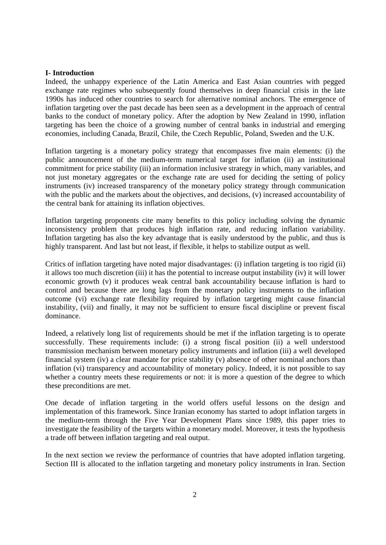#### **I- Introduction**

Indeed, the unhappy experience of the Latin America and East Asian countries with pegged exchange rate regimes who subsequently found themselves in deep financial crisis in the late 1990s has induced other countries to search for alternative nominal anchors. The emergence of inflation targeting over the past decade has been seen as a development in the approach of central banks to the conduct of monetary policy. After the adoption by New Zealand in 1990, inflation targeting has been the choice of a growing number of central banks in industrial and emerging economies, including Canada, Brazil, Chile, the Czech Republic, Poland, Sweden and the U.K.

Inflation targeting is a monetary policy strategy that encompasses five main elements: (i) the public announcement of the medium-term numerical target for inflation (ii) an institutional commitment for price stability (iii) an information inclusive strategy in which, many variables, and not just monetary aggregates or the exchange rate are used for deciding the setting of policy instruments (iv) increased transparency of the monetary policy strategy through communication with the public and the markets about the objectives, and decisions, (v) increased accountability of the central bank for attaining its inflation objectives.

Inflation targeting proponents cite many benefits to this policy including solving the dynamic inconsistency problem that produces high inflation rate, and reducing inflation variability. Inflation targeting has also the key advantage that is easily understood by the public, and thus is highly transparent. And last but not least, if flexible, it helps to stabilize output as well.

Critics of inflation targeting have noted major disadvantages: (i) inflation targeting is too rigid (ii) it allows too much discretion (iii) it has the potential to increase output instability (iv) it will lower economic growth (v) it produces weak central bank accountability because inflation is hard to control and because there are long lags from the monetary policy instruments to the inflation outcome (vi) exchange rate flexibility required by inflation targeting might cause financial instability, (vii) and finally, it may not be sufficient to ensure fiscal discipline or prevent fiscal dominance.

Indeed, a relatively long list of requirements should be met if the inflation targeting is to operate successfully. These requirements include: (i) a strong fiscal position (ii) a well understood transmission mechanism between monetary policy instruments and inflation (iii) a well developed financial system (iv) a clear mandate for price stability (v) absence of other nominal anchors than inflation (vi) transparency and accountability of monetary policy. Indeed, it is not possible to say whether a country meets these requirements or not: it is more a question of the degree to which these preconditions are met.

One decade of inflation targeting in the world offers useful lessons on the design and implementation of this framework. Since Iranian economy has started to adopt inflation targets in the medium-term through the Five Year Development Plans since 1989, this paper tries to investigate the feasibility of the targets within a monetary model. Moreover, it tests the hypothesis a trade off between inflation targeting and real output.

In the next section we review the performance of countries that have adopted inflation targeting. Section III is allocated to the inflation targeting and monetary policy instruments in Iran. Section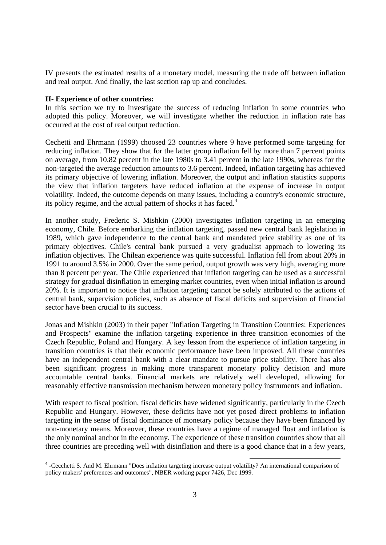IV presents the estimated results of a monetary model, measuring the trade off between inflation and real output. And finally, the last section rap up and concludes.

#### **II- Experience of other countries:**

In this section we try to investigate the success of reducing inflation in some countries who adopted this policy. Moreover, we will investigate whether the reduction in inflation rate has occurred at the cost of real output reduction.

Cechetti and Ehrmann (1999) choosed 23 countries where 9 have performed some targeting for reducing inflation. They show that for the latter group inflation fell by more than 7 percent points on average, from 10.82 percent in the late 1980s to 3.41 percent in the late 1990s, whereas for the non-targeted the average reduction amounts to 3.6 percent. Indeed, inflation targeting has achieved its primary objective of lowering inflation. Moreover, the output and inflation statistics supports the view that inflation targeters have reduced inflation at the expense of increase in output volatility. Indeed, the outcome depends on many issues, including a country's economic structure, its policy regime, and the actual pattern of shocks it has faced. $4$ 

In another study, Frederic S. Mishkin (2000) investigates inflation targeting in an emerging economy, Chile. Before embarking the inflation targeting, passed new central bank legislation in 1989, which gave independence to the central bank and mandated price stability as one of its primary objectives. Chile's central bank pursued a very gradualist approach to lowering its inflation objectives. The Chilean experience was quite successful. Inflation fell from about 20% in 1991 to around 3.5% in 2000. Over the same period, output growth was very high, averaging more than 8 percent per year. The Chile experienced that inflation targeting can be used as a successful strategy for gradual disinflation in emerging market countries, even when initial inflation is around 20%. It is important to notice that inflation targeting cannot be solely attributed to the actions of central bank, supervision policies, such as absence of fiscal deficits and supervision of financial sector have been crucial to its success.

Jonas and Mishkin (2003) in their paper "Inflation Targeting in Transition Countries: Experiences and Prospects" examine the inflation targeting experience in three transition economies of the Czech Republic, Poland and Hungary. A key lesson from the experience of inflation targeting in transition countries is that their economic performance have been improved. All these countries have an independent central bank with a clear mandate to pursue price stability. There has also been significant progress in making more transparent monetary policy decision and more accountable central banks. Financial markets are relatively well developed, allowing for reasonably effective transmission mechanism between monetary policy instruments and inflation.

With respect to fiscal position, fiscal deficits have widened significantly, particularly in the Czech Republic and Hungary. However, these deficits have not yet posed direct problems to inflation targeting in the sense of fiscal dominance of monetary policy because they have been financed by non-monetary means. Moreover, these countries have a regime of managed float and inflation is the only nominal anchor in the economy. The experience of these transition countries show that all three countries are preceding well with disinflation and there is a good chance that in a few years,

 <sup>4</sup> -Cecchetti S. And M. Ehrmann "Does inflation targeting increase output volatility? An international comparison of policy makers' preferences and outcomes", NBER working paper 7426, Dec 1999.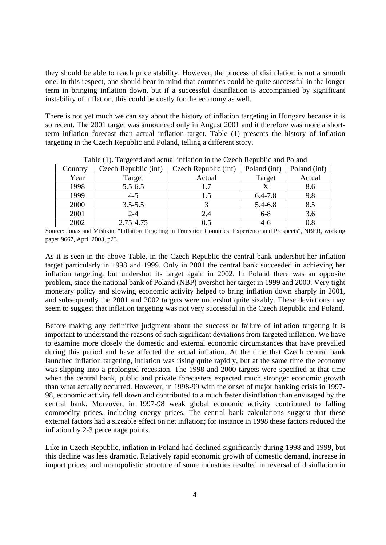they should be able to reach price stability. However, the process of disinflation is not a smooth one. In this respect, one should bear in mind that countries could be quite successful in the longer term in bringing inflation down, but if a successful disinflation is accompanied by significant instability of inflation, this could be costly for the economy as well.

There is not yet much we can say about the history of inflation targeting in Hungary because it is so recent. The 2001 target was announced only in August 2001 and it therefore was more a shortterm inflation forecast than actual inflation target. Table (1) presents the history of inflation targeting in the Czech Republic and Poland, telling a different story.

| Tuble (1). The general and actual influence in the Checker Republic and I change |                      |                      |              |              |  |  |
|----------------------------------------------------------------------------------|----------------------|----------------------|--------------|--------------|--|--|
| Country                                                                          | Czech Republic (inf) | Czech Republic (inf) | Poland (inf) | Poland (inf) |  |  |
| Year                                                                             | Target               | Actual               | Target       | Actual       |  |  |
| 1998                                                                             | $5.5 - 6.5$          |                      |              | 8.6          |  |  |
| 1999                                                                             | $4 - 5$              | 1.5                  | $6.4 - 7.8$  | 9.8          |  |  |
| 2000                                                                             | $3.5 - 5.5$          |                      | 5.4-6.8      | 8.5          |  |  |
| 2001                                                                             | $2 - 4$              | 2.4                  | $6 - 8$      | 3.6          |  |  |
| 2002                                                                             | 2.75-4.75            |                      |              |              |  |  |

Table (1). Targeted and actual inflation in the Czech Republic and Poland

Source: Jonas and Mishkin, "Inflation Targeting in Transition Countries: Experience and Prospects", NBER, working paper 9667, April 2003, p23.

As it is seen in the above Table, in the Czech Republic the central bank undershot her inflation target particularly in 1998 and 1999. Only in 2001 the central bank succeeded in achieving her inflation targeting, but undershot its target again in 2002. In Poland there was an opposite problem, since the national bank of Poland (NBP) overshot her target in 1999 and 2000. Very tight monetary policy and slowing economic activity helped to bring inflation down sharply in 2001, and subsequently the 2001 and 2002 targets were undershot quite sizably. These deviations may seem to suggest that inflation targeting was not very successful in the Czech Republic and Poland.

Before making any definitive judgment about the success or failure of inflation targeting it is important to understand the reasons of such significant deviations from targeted inflation. We have to examine more closely the domestic and external economic circumstances that have prevailed during this period and have affected the actual inflation. At the time that Czech central bank launched inflation targeting, inflation was rising quite rapidly, but at the same time the economy was slipping into a prolonged recession. The 1998 and 2000 targets were specified at that time when the central bank, public and private forecasters expected much stronger economic growth than what actually occurred. However, in 1998-99 with the onset of major banking crisis in 1997- 98, economic activity fell down and contributed to a much faster disinflation than envisaged by the central bank. Moreover, in 1997-98 weak global economic activity contributed to falling commodity prices, including energy prices. The central bank calculations suggest that these external factors had a sizeable effect on net inflation; for instance in 1998 these factors reduced the inflation by 2-3 percentage points.

Like in Czech Republic, inflation in Poland had declined significantly during 1998 and 1999, but this decline was less dramatic. Relatively rapid economic growth of domestic demand, increase in import prices, and monopolistic structure of some industries resulted in reversal of disinflation in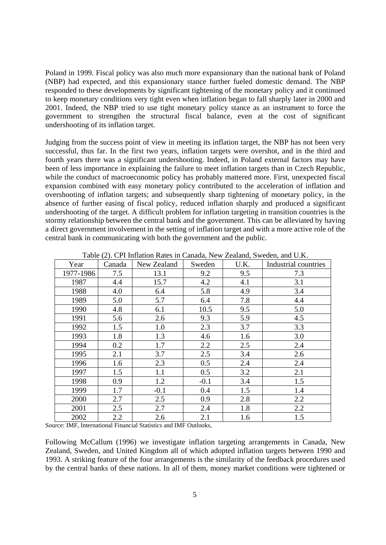Poland in 1999. Fiscal policy was also much more expansionary than the national bank of Poland (NBP) had expected, and this expansionary stance further fueled domestic demand. The NBP responded to these developments by significant tightening of the monetary policy and it continued to keep monetary conditions very tight even when inflation began to fall sharply later in 2000 and 2001. Indeed, the NBP tried to use tight monetary policy stance as an instrument to force the government to strengthen the structural fiscal balance, even at the cost of significant undershooting of its inflation target.

Judging from the success point of view in meeting its inflation target, the NBP has not been very successful, thus far. In the first two years, inflation targets were overshot, and in the third and fourth years there was a significant undershooting. Indeed, in Poland external factors may have been of less importance in explaining the failure to meet inflation targets than in Czech Republic, while the conduct of macroeconomic policy has probably mattered more. First, unexpected fiscal expansion combined with easy monetary policy contributed to the acceleration of inflation and overshooting of inflation targets; and subsequently sharp tightening of monetary policy, in the absence of further easing of fiscal policy, reduced inflation sharply and produced a significant undershooting of the target. A difficult problem for inflation targeting in transition countries is the stormy relationship between the central bank and the government. This can be alleviated by having a direct government involvement in the setting of inflation target and with a more active role of the central bank in communicating with both the government and the public.

| Year      | Canada | New Zealand | Sweden | U.K. | Industrial countries |
|-----------|--------|-------------|--------|------|----------------------|
| 1977-1986 | 7.5    | 13.1        | 9.2    | 9.5  | 7.3                  |
| 1987      | 4.4    | 15.7        | 4.2    | 4.1  | 3.1                  |
| 1988      | 4.0    | 6.4         | 5.8    | 4.9  | 3.4                  |
| 1989      | 5.0    | 5.7         | 6.4    | 7.8  | 4.4                  |
| 1990      | 4.8    | 6.1         | 10.5   | 9.5  | 5.0                  |
| 1991      | 5.6    | 2.6         | 9.3    | 5.9  | 4.5                  |
| 1992      | 1.5    | 1.0         | 2.3    | 3.7  | 3.3                  |
| 1993      | 1.8    | 1.3         | 4.6    | 1.6  | 3.0                  |
| 1994      | 0.2    | 1.7         | 2.2    | 2.5  | 2.4                  |
| 1995      | 2.1    | 3.7         | 2.5    | 3.4  | 2.6                  |
| 1996      | 1.6    | 2.3         | 0.5    | 2.4  | 2.4                  |
| 1997      | 1.5    | 1.1         | 0.5    | 3.2  | 2.1                  |
| 1998      | 0.9    | 1.2         | $-0.1$ | 3.4  | 1.5                  |
| 1999      | 1.7    | $-0.1$      | 0.4    | 1.5  | 1.4                  |
| 2000      | 2.7    | 2.5         | 0.9    | 2.8  | 2.2                  |
| 2001      | 2.5    | 2.7         | 2.4    | 1.8  | 2.2                  |
| 2002      | 2.2    | 2.6         | 2.1    | 1.6  | 1.5                  |

Table (2). CPI Inflation Rates in Canada, New Zealand, Sweden, and U.K.

Source: IMF, International Financial Statistics and IMF Outlooks,

Following McCallum (1996) we investigate inflation targeting arrangements in Canada, New Zealand, Sweden, and United Kingdom all of which adopted inflation targets between 1990 and 1993. A striking feature of the four arrangements is the similarity of the feedback procedures used by the central banks of these nations. In all of them, money market conditions were tightened or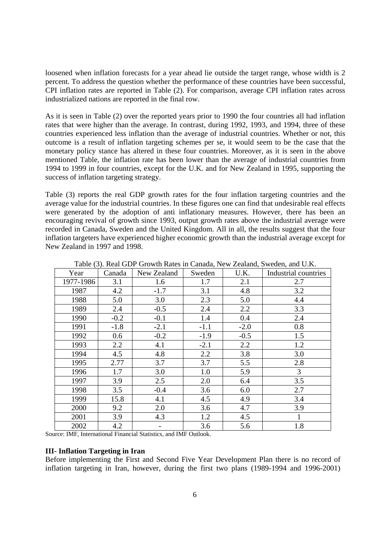loosened when inflation forecasts for a year ahead lie outside the target range, whose width is 2 percent. To address the question whether the performance of these countries have been successful, CPI inflation rates are reported in Table (2). For comparison, average CPI inflation rates across industrialized nations are reported in the final row.

As it is seen in Table (2) over the reported years prior to 1990 the four countries all had inflation rates that were higher than the average. In contrast, during 1992, 1993, and 1994, three of these countries experienced less inflation than the average of industrial countries. Whether or not, this outcome is a result of inflation targeting schemes per se, it would seem to be the case that the monetary policy stance has altered in these four countries. Moreover, as it is seen in the above mentioned Table, the inflation rate has been lower than the average of industrial countries from 1994 to 1999 in four countries, except for the U.K. and for New Zealand in 1995, supporting the success of inflation targeting strategy.

Table (3) reports the real GDP growth rates for the four inflation targeting countries and the average value for the industrial countries. In these figures one can find that undesirable real effects were generated by the adoption of anti inflationary measures. However, there has been an encouraging revival of growth since 1993, output growth rates above the industrial average were recorded in Canada, Sweden and the United Kingdom. All in all, the results suggest that the four inflation targeters have experienced higher economic growth than the industrial average except for New Zealand in 1997 and 1998.

| 1.0010 (0.001) |        |             |        |        |                      |
|----------------|--------|-------------|--------|--------|----------------------|
| Year           | Canada | New Zealand | Sweden | U.K.   | Industrial countries |
| 1977-1986      | 3.1    | 1.6         | 1.7    | 2.1    | 2.7                  |
| 1987           | 4.2    | $-1.7$      | 3.1    | 4.8    | 3.2                  |
| 1988           | 5.0    | 3.0         | 2.3    | 5.0    | 4.4                  |
| 1989           | 2.4    | $-0.5$      | 2.4    | 2.2    | 3.3                  |
| 1990           | $-0.2$ | $-0.1$      | 1.4    | 0.4    | 2.4                  |
| 1991           | $-1.8$ | $-2.1$      | $-1.1$ | $-2.0$ | 0.8                  |
| 1992           | 0.6    | $-0.2$      | $-1.9$ | $-0.5$ | 1.5                  |
| 1993           | 2.2    | 4.1         | $-2.1$ | 2.2    | 1.2                  |
| 1994           | 4.5    | 4.8         | 2.2    | 3.8    | 3.0                  |
| 1995           | 2.77   | 3.7         | 3.7    | 5.5    | 2.8                  |
| 1996           | 1.7    | 3.0         | 1.0    | 5.9    | 3                    |
| 1997           | 3.9    | 2.5         | 2.0    | 6.4    | 3.5                  |
| 1998           | 3.5    | $-0.4$      | 3.6    | 6.0    | 2.7                  |
| 1999           | 15.8   | 4.1         | 4.5    | 4.9    | 3.4                  |
| 2000           | 9.2    | 2.0         | 3.6    | 4.7    | 3.9                  |
| 2001           | 3.9    | 4.3         | 1.2    | 4.5    | $\mathbf{1}$         |
| 2002           | 4.2    |             | 3.6    | 5.6    | 1.8                  |

Table (3). Real GDP Growth Rates in Canada, New Zealand, Sweden, and U.K.

Source: IMF, International Financial Statistics, and IMF Outlook.

#### **III- Inflation Targeting in Iran**

Before implementing the First and Second Five Year Development Plan there is no record of inflation targeting in Iran, however, during the first two plans (1989-1994 and 1996-2001)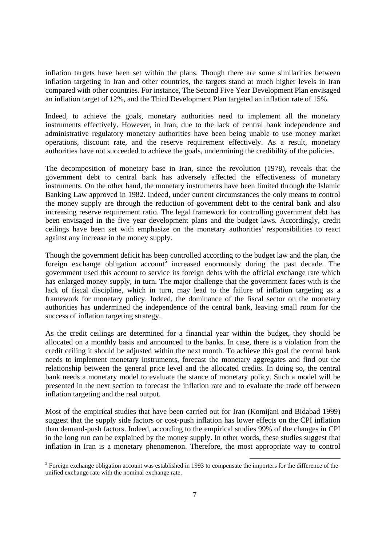inflation targets have been set within the plans. Though there are some similarities between inflation targeting in Iran and other countries, the targets stand at much higher levels in Iran compared with other countries. For instance, The Second Five Year Development Plan envisaged an inflation target of 12%, and the Third Development Plan targeted an inflation rate of 15%.

Indeed, to achieve the goals, monetary authorities need to implement all the monetary instruments effectively. However, in Iran, due to the lack of central bank independence and administrative regulatory monetary authorities have been being unable to use money market operations, discount rate, and the reserve requirement effectively. As a result, monetary authorities have not succeeded to achieve the goals, undermining the credibility of the policies.

The decomposition of monetary base in Iran, since the revolution (1978), reveals that the government debt to central bank has adversely affected the effectiveness of monetary instruments. On the other hand, the monetary instruments have been limited through the Islamic Banking Law approved in 1982. Indeed, under current circumstances the only means to control the money supply are through the reduction of government debt to the central bank and also increasing reserve requirement ratio. The legal framework for controlling government debt has been envisaged in the five year development plans and the budget laws. Accordingly, credit ceilings have been set with emphasize on the monetary authorities' responsibilities to react against any increase in the money supply.

Though the government deficit has been controlled according to the budget law and the plan, the foreign exchange obligation account<sup>5</sup> increased enormously during the past decade. The government used this account to service its foreign debts with the official exchange rate which has enlarged money supply, in turn. The major challenge that the government faces with is the lack of fiscal discipline, which in turn, may lead to the failure of inflation targeting as a framework for monetary policy. Indeed, the dominance of the fiscal sector on the monetary authorities has undermined the independence of the central bank, leaving small room for the success of inflation targeting strategy.

As the credit ceilings are determined for a financial year within the budget, they should be allocated on a monthly basis and announced to the banks. In case, there is a violation from the credit ceiling it should be adjusted within the next month. To achieve this goal the central bank needs to implement monetary instruments, forecast the monetary aggregates and find out the relationship between the general price level and the allocated credits. In doing so, the central bank needs a monetary model to evaluate the stance of monetary policy. Such a model will be presented in the next section to forecast the inflation rate and to evaluate the trade off between inflation targeting and the real output.

Most of the empirical studies that have been carried out for Iran (Komijani and Bidabad 1999) suggest that the supply side factors or cost-push inflation has lower effects on the CPI inflation than demand-push factors. Indeed, according to the empirical studies 99% of the changes in CPI in the long run can be explained by the money supply. In other words, these studies suggest that inflation in Iran is a monetary phenomenon. Therefore, the most appropriate way to control

<sup>&</sup>lt;sup>5</sup> Foreign exchange obligation account was established in 1993 to compensate the importers for the difference of the unified exchange rate with the nominal exchange rate.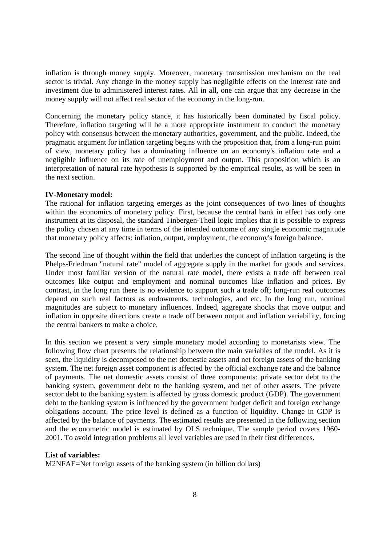inflation is through money supply. Moreover, monetary transmission mechanism on the real sector is trivial. Any change in the money supply has negligible effects on the interest rate and investment due to administered interest rates. All in all, one can argue that any decrease in the money supply will not affect real sector of the economy in the long-run.

Concerning the monetary policy stance, it has historically been dominated by fiscal policy. Therefore, inflation targeting will be a more appropriate instrument to conduct the monetary policy with consensus between the monetary authorities, government, and the public. Indeed, the pragmatic argument for inflation targeting begins with the proposition that, from a long-run point of view, monetary policy has a dominating influence on an economy's inflation rate and a negligible influence on its rate of unemployment and output. This proposition which is an interpretation of natural rate hypothesis is supported by the empirical results, as will be seen in the next section.

# **IV-Monetary model:**

The rational for inflation targeting emerges as the joint consequences of two lines of thoughts within the economics of monetary policy. First, because the central bank in effect has only one instrument at its disposal, the standard Tinbergen-Theil logic implies that it is possible to express the policy chosen at any time in terms of the intended outcome of any single economic magnitude that monetary policy affects: inflation, output, employment, the economy's foreign balance.

The second line of thought within the field that underlies the concept of inflation targeting is the Phelps-Friedman "natural rate" model of aggregate supply in the market for goods and services. Under most familiar version of the natural rate model, there exists a trade off between real outcomes like output and employment and nominal outcomes like inflation and prices. By contrast, in the long run there is no evidence to support such a trade off; long-run real outcomes depend on such real factors as endowments, technologies, and etc. In the long run, nominal magnitudes are subject to monetary influences. Indeed, aggregate shocks that move output and inflation in opposite directions create a trade off between output and inflation variability, forcing the central bankers to make a choice.

In this section we present a very simple monetary model according to monetarists view. The following flow chart presents the relationship between the main variables of the model. As it is seen, the liquidity is decomposed to the net domestic assets and net foreign assets of the banking system. The net foreign asset component is affected by the official exchange rate and the balance of payments. The net domestic assets consist of three components: private sector debt to the banking system, government debt to the banking system, and net of other assets. The private sector debt to the banking system is affected by gross domestic product (GDP). The government debt to the banking system is influenced by the government budget deficit and foreign exchange obligations account. The price level is defined as a function of liquidity. Change in GDP is affected by the balance of payments. The estimated results are presented in the following section and the econometric model is estimated by OLS technique. The sample period covers 1960- 2001. To avoid integration problems all level variables are used in their first differences.

# **List of variables:**

M2NFAE=Net foreign assets of the banking system (in billion dollars)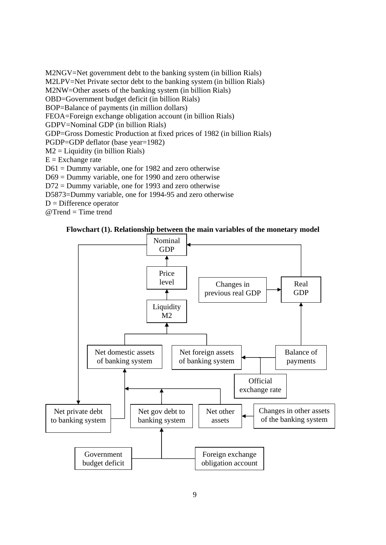M2NGV=Net government debt to the banking system (in billion Rials) M2LPV=Net Private sector debt to the banking system (in billion Rials) M2NW=Other assets of the banking system (in billion Rials) OBD=Government budget deficit (in billion Rials) BOP=Balance of payments (in million dollars) FEOA=Foreign exchange obligation account (in billion Rials) GDPV=Nominal GDP (in billion Rials) GDP=Gross Domestic Production at fixed prices of 1982 (in billion Rials) PGDP=GDP deflator (base year=1982)  $M2 =$  Liquidity (in billion Rials)  $E = Exchange$  rate D61 = Dummy variable, one for 1982 and zero otherwise D69 = Dummy variable, one for 1990 and zero otherwise D72 = Dummy variable, one for 1993 and zero otherwise D5873=Dummy variable, one for 1994-95 and zero otherwise  $D =$ Difference operator @Trend = Time trend



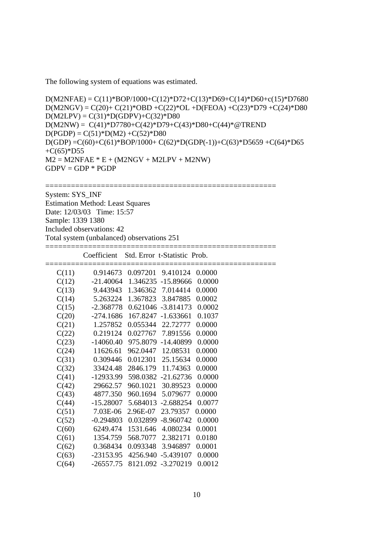The following system of equations was estimated.

```
D(M2NFAE) = C(11)*BOP/1000 + C(12)*D72 + C(13)*D69 + C(14)*D60 + c(15)*D7680D(M2NGV) = C(20) + C(21)^* OBD + C(22)^* OL + D(FEOA) + C(23)^* D79 + C(24)^* D80D(M2LPV) = C(31)^*D(GDPV) + C(32)^*D80D(M2NW) = C(41)*D7780+C(42)*D79+C(43)*D80+C(44)*@TRENDD(PGDP) = C(51)*D(M2) + C(52)*D80D(GDP) =C(60)+C(61)*BOP/1000+ C(62)*D(GDP(-1))+C(63)*D5659 +C(64)*D65 
+C(65)*D55M2 = M2NFAE * E + (M2NGV + M2LPV + M2NW)GDPV = GDP * PGDP
```
======================================================

System: SYS\_INF Estimation Method: Least Squares Date: 12/03/03 Time: 15:57 Sample: 1339 1380 Included observations: 42 Total system (unbalanced) observations 251

|       | Coefficient |                            | Std. Error t-Statistic Prob.        |        |  |
|-------|-------------|----------------------------|-------------------------------------|--------|--|
| C(11) |             |                            | 0.914673 0.097201 9.410124 0.0000   |        |  |
| C(12) |             |                            | -21.40064 1.346235 -15.89666 0.0000 |        |  |
| C(13) |             |                            | 9.443943 1.346362 7.014414          | 0.0000 |  |
| C(14) |             |                            | 5.263224 1.367823 3.847885          | 0.0002 |  |
| C(15) |             |                            | $-2.368778$ 0.621046 $-3.814173$    | 0.0002 |  |
| C(20) |             |                            | $-274.1686$ 167.8247 $-1.633661$    | 0.1037 |  |
| C(21) | 1.257852    |                            | 0.055344 22.72777                   | 0.0000 |  |
| C(22) | 0.219124    |                            | 0.027767 7.891556                   | 0.0000 |  |
| C(23) |             |                            | $-14060.40$ 975.8079 $-14.40899$    | 0.0000 |  |
| C(24) | 11626.61    |                            | 962.0447 12.08531                   | 0.0000 |  |
| C(31) |             |                            | 0.309446 0.012301 25.15634          | 0.0000 |  |
| C(32) |             |                            | 33424.48 2846.179 11.74363          | 0.0000 |  |
| C(41) |             |                            | -12933.99 598.0382 -21.62736        | 0.0000 |  |
| C(42) |             |                            | 29662.57 960.1021 30.89523          | 0.0000 |  |
| C(43) | 4877.350    | 960.1694                   | 5.079677                            | 0.0000 |  |
| C(44) | $-15.28007$ |                            | 5.684013 -2.688254                  | 0.0077 |  |
| C(51) | 7.03E-06    | 2.96E-07                   | 23.79357                            | 0.0000 |  |
| C(52) | $-0.294803$ |                            | 0.032899 -8.960742                  | 0.0000 |  |
| C(60) | 6249.474    | 1531.646                   | 4.080234                            | 0.0001 |  |
| C(61) |             | 1354.759 568.7077 2.382171 |                                     | 0.0180 |  |
| C(62) |             |                            | 0.368434 0.093348 3.946897          | 0.0001 |  |
| C(63) |             |                            | -23153.95 4256.940 -5.439107        | 0.0000 |  |
| C(64) |             |                            | -26557.75 8121.092 -3.270219        | 0.0012 |  |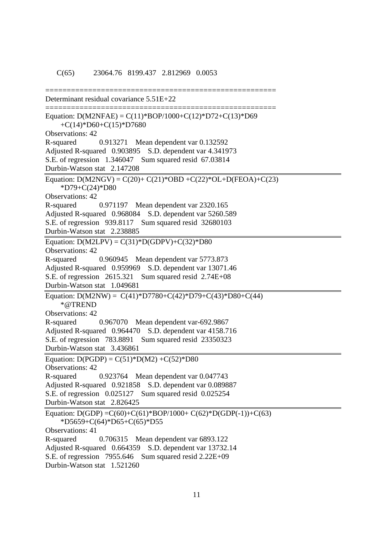# ====================================================== Determinant residual covariance 5.51E+22 ====================================================== Equation:  $D(M2NFAE) = C(11)*BOP/1000 + C(12)*D72 + C(13)*D69$  +C(14)\*D60+C(15)\*D7680 Observations: 42 R-squared 0.913271 Mean dependent var 0.132592 Adjusted R-squared 0.903895 S.D. dependent var 4.341973 S.E. of regression 1.346047 Sum squared resid 67.03814 Durbin-Watson stat 2.147208 Equation:  $D(M2NGV) = C(20) + C(21)^* OBD + C(22)^* OL + D(FEOA) + C(23)$  \*D79+C(24)\*D80 Observations: 42 R-squared 0.971197 Mean dependent var 2320.165 Adjusted R-squared 0.968084 S.D. dependent var 5260.589 S.E. of regression 939.8117 Sum squared resid 32680103 Durbin-Watson stat 2.238885 Equation:  $D(M2LPV) = C(31)^*D(GDPV) + C(32)^*D80$ Observations: 42 R-squared 0.960945 Mean dependent var 5773.873 Adjusted R-squared 0.959969 S.D. dependent var 13071.46 S.E. of regression 2615.321 Sum squared resid 2.74E+08 Durbin-Watson stat 1.049681 Equation:  $D(M2NW) = C(41)*D7780+C(42)*D79+C(43)*D80+C(44)$  \*@TREND Observations: 42 R-squared 0.967070 Mean dependent var-692.9867 Adjusted R-squared 0.964470 S.D. dependent var 4158.716 S.E. of regression 783.8891 Sum squared resid 23350323 Durbin-Watson stat 3.436861 Equation:  $D(PGDP) = C(51)^*D(M2) + C(52)^*D80$ Observations: 42 R-squared 0.923764 Mean dependent var 0.047743 Adjusted R-squared 0.921858 S.D. dependent var 0.089887 S.E. of regression 0.025127 Sum squared resid 0.025254 Durbin-Watson stat 2.826425 Equation:  $D(GDP) = C(60) + C(61) * BOP/1000 + C(62) * D(GDP(-1)) + C(63)$  \*D5659+C(64)\*D65+C(65)\*D55 Observations: 41 R-squared 0.706315 Mean dependent var 6893.122 Adjusted R-squared 0.664359 S.D. dependent var 13732.14 S.E. of regression 7955.646 Sum squared resid 2.22E+09 Durbin-Watson stat 1.521260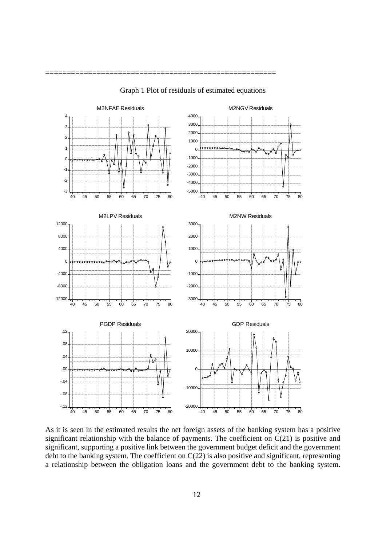

Graph 1 Plot of residuals of estimated equations

======================================================

As it is seen in the estimated results the net foreign assets of the banking system has a positive significant relationship with the balance of payments. The coefficient on  $C(21)$  is positive and significant, supporting a positive link between the government budget deficit and the government debt to the banking system. The coefficient on  $C(22)$  is also positive and significant, representing a relationship between the obligation loans and the government debt to the banking system.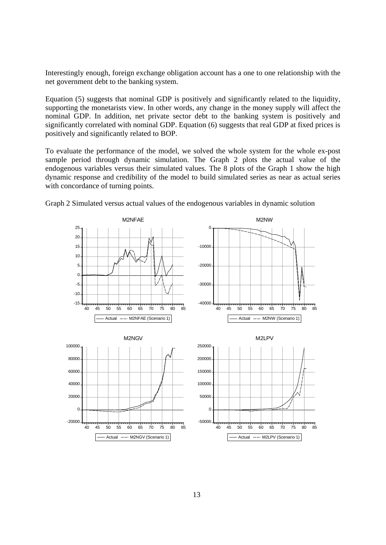Interestingly enough, foreign exchange obligation account has a one to one relationship with the net government debt to the banking system.

Equation (5) suggests that nominal GDP is positively and significantly related to the liquidity, supporting the monetarists view. In other words, any change in the money supply will affect the nominal GDP. In addition, net private sector debt to the banking system is positively and significantly correlated with nominal GDP. Equation (6) suggests that real GDP at fixed prices is positively and significantly related to BOP.

To evaluate the performance of the model, we solved the whole system for the whole ex-post sample period through dynamic simulation. The Graph 2 plots the actual value of the endogenous variables versus their simulated values. The 8 plots of the Graph 1 show the high dynamic response and credibility of the model to build simulated series as near as actual series with concordance of turning points.



Graph 2 Simulated versus actual values of the endogenous variables in dynamic solution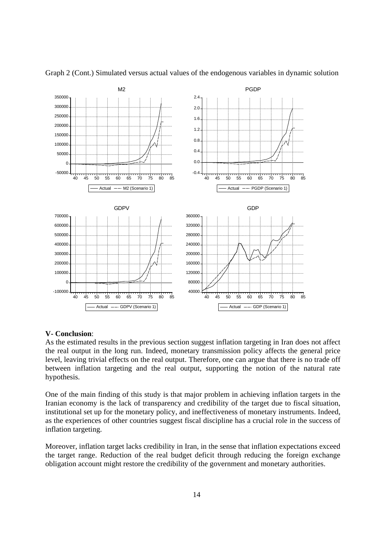

Graph 2 (Cont.) Simulated versus actual values of the endogenous variables in dynamic solution

# **V- Conclusion**:

As the estimated results in the previous section suggest inflation targeting in Iran does not affect the real output in the long run. Indeed, monetary transmission policy affects the general price level, leaving trivial effects on the real output. Therefore, one can argue that there is no trade off between inflation targeting and the real output, supporting the notion of the natural rate hypothesis.

One of the main finding of this study is that major problem in achieving inflation targets in the Iranian economy is the lack of transparency and credibility of the target due to fiscal situation, institutional set up for the monetary policy, and ineffectiveness of monetary instruments. Indeed, as the experiences of other countries suggest fiscal discipline has a crucial role in the success of inflation targeting.

Moreover, inflation target lacks credibility in Iran, in the sense that inflation expectations exceed the target range. Reduction of the real budget deficit through reducing the foreign exchange obligation account might restore the credibility of the government and monetary authorities.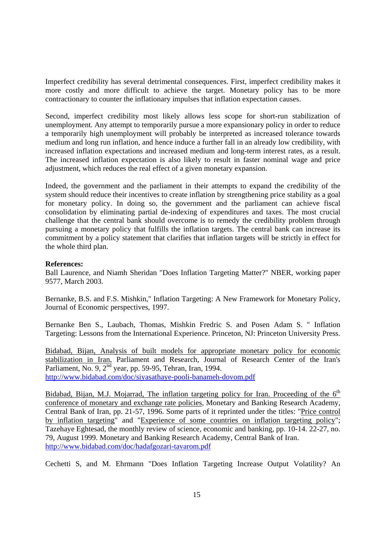Imperfect credibility has several detrimental consequences. First, imperfect credibility makes it more costly and more difficult to achieve the target. Monetary policy has to be more contractionary to counter the inflationary impulses that inflation expectation causes.

Second, imperfect credibility most likely allows less scope for short-run stabilization of unemployment. Any attempt to temporarily pursue a more expansionary policy in order to reduce a temporarily high unemployment will probably be interpreted as increased tolerance towards medium and long run inflation, and hence induce a further fall in an already low credibility, with increased inflation expectations and increased medium and long-term interest rates, as a result. The increased inflation expectation is also likely to result in faster nominal wage and price adjustment, which reduces the real effect of a given monetary expansion.

Indeed, the government and the parliament in their attempts to expand the credibility of the system should reduce their incentives to create inflation by strengthening price stability as a goal for monetary policy. In doing so, the government and the parliament can achieve fiscal consolidation by eliminating partial de-indexing of expenditures and taxes. The most crucial challenge that the central bank should overcome is to remedy the credibility problem through pursuing a monetary policy that fulfills the inflation targets. The central bank can increase its commitment by a policy statement that clarifies that inflation targets will be strictly in effect for the whole third plan.

# **References:**

Ball Laurence, and Niamh Sheridan "Does Inflation Targeting Matter?" NBER, working paper 9577, March 2003.

Bernanke, B.S. and F.S. Mishkin," Inflation Targeting: A New Framework for Monetary Policy, Journal of Economic perspectives, 1997.

Bernanke Ben S., Laubach, Thomas, Mishkin Fredric S. and Posen Adam S. " Inflation Targeting: Lessons from the International Experience. Princeton, NJ: Princeton University Press.

Bidabad, Bijan, Analysis of built models for appropriate monetary policy for economic stabilization in Iran, Parliament and Research, Journal of Research Center of the Iran's Parliament, No. 9,  $2^{nd}$  year, pp. 59-95, Tehran, Iran, 1994. http://www.bidabad.com/doc/siyasathaye-pooli-banameh-dovom.pdf

Bidabad, Bijan, M.J. Mojarrad, The inflation targeting policy for Iran. Proceeding of the  $6<sup>th</sup>$ conference of monetary and exchange rate policies, Monetary and Banking Research Academy, Central Bank of Iran, pp. 21-57, 1996. Some parts of it reprinted under the titles: "Price control by inflation targeting" and "Experience of some countries on inflation targeting policy"; Tazehaye Eghtesad, the monthly review of science, economic and banking, pp. 10-14. 22-27, no. 79, August 1999. Monetary and Banking Research Academy, Central Bank of Iran. http://www.bidabad.com/doc/hadafgozari-tavarom.pdf

Cechetti S, and M. Ehrmann "Does Inflation Targeting Increase Output Volatility? An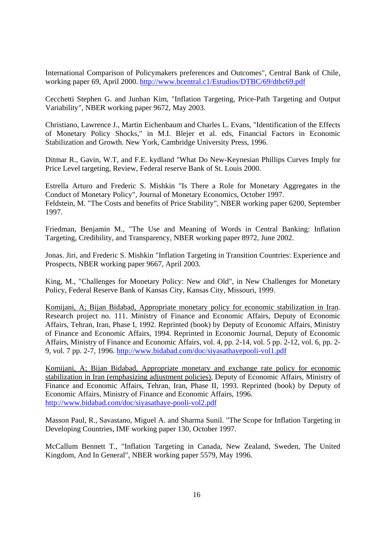International Comparison of Policymakers preferences and Outcomes", Central Bank of Chile, working paper 69, April 2000. http://www.bcentral.c1/Estudios/DTBC/69/dtbc69.pdf

Cecchetti Stephen G. and Junhan Kim, "Inflation Targeting, Price-Path Targeting and Output Variability", NBER working paper 9672, May 2003.

Christiano, Lawrence J., Martin Eichenbaum and Charles L. Evans, "Identification of the Effects of Monetary Policy Shocks," in M.I. Blejer et al. eds, Financial Factors in Economic Stabilization and Growth. New York, Cambridge University Press, 1996.

Ditmar R., Gavin, W.T, and F.E. kydland "What Do New-Keynesian Phillips Curves Imply for Price Level targeting, Review, Federal reserve Bank of St. Louis 2000.

Estrella Arturo and Frederic S. Mishkin "Is There a Role for Monetary Aggregates in the Conduct of Monetary Policy", Journal of Monetary Economics, October 1997. Feldstein, M. "The Costs and benefits of Price Stability", NBER working paper 6200, September 1997.

Friedman, Benjamin M., "The Use and Meaning of Words in Central Banking: Inflation Targeting, Credibility, and Transparency, NBER working paper 8972, June 2002.

Jonas. Jiri, and Frederic S. Mishkin "Inflation Targeting in Transition Countries: Experience and Prospects, NBER working paper 9667, April 2003.

King, M., "Challenges for Monetary Policy: New and Old", in New Challenges for Monetary Policy, Federal Reserve Bank of Kansas City, Kansas City, Missouri, 1999.

Komijani, A; Bijan Bidabad, Appropriate monetary policy for economic stabilization in Iran. Research project no. 111. Ministry of Finance and Economic Affairs, Deputy of Economic Affairs, Tehran, Iran, Phase I, 1992. Reprinted (book) by Deputy of Economic Affairs, Ministry of Finance and Economic Affairs, 1994. Reprinted in Economic Journal, Deputy of Economic Affairs, Ministry of Finance and Economic Affairs, vol. 4, pp. 2-14, vol. 5 pp. 2-12, vol. 6, pp. 2- 9, vol. 7 pp. 2-7, 1996. http://www.bidabad.com/doc/siyasathayepooli-vol1.pdf

Komijani, A; Bijan Bidabad, Appropriate monetary and exchange rate policy for economic stabilization in Iran (emphasizing adjustment policies), Deputy of Economic Affairs, Ministry of Finance and Economic Affairs, Tehran, Iran, Phase II, 1993. Reprinted (book) by Deputy of Economic Affairs, Ministry of Finance and Economic Affairs, 1996. http://www.bidabad.com/doc/siyasathaye-pooli-vol2.pdf

Masson Paul, R., Savastano, Miguel A. and Sharma Sunil. "The Scope for Inflation Targeting in Developing Countries, IMF working paper 130, October 1997.

McCallum Bennett T., "Inflation Targeting in Canada, New Zealand, Sweden, The United Kingdom, And In General", NBER working paper 5579, May 1996.